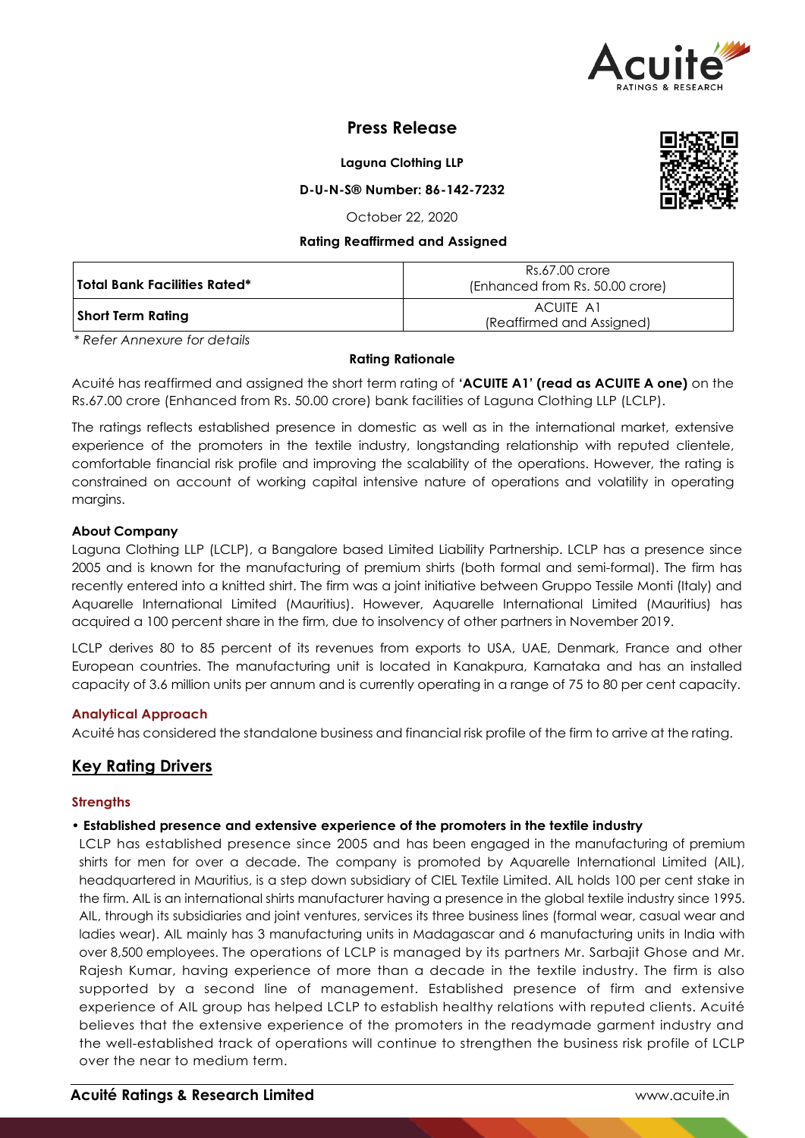

# **Press Release**

### **Laguna Clothing LLP**

### **D-U-N-S® Number: 86-142-7232**

October 22, 2020

### **Rating Reaffirmed and Assigned**

| Total Bank Facilities Rated* | Rs.67.00 crore<br>(Enhanced from Rs. 50.00 crore) |
|------------------------------|---------------------------------------------------|
| Short Term Rating            | ACUITE A1<br>(Reaffirmed and Assigned)            |

*\* Refer Annexure for details*

### **Rating Rationale**

Acuité has reaffirmed and assigned the short term rating of **'ACUITE A1' (read as ACUITE A one)** on the Rs.67.00 crore (Enhanced from Rs. 50.00 crore) bank facilities of Laguna Clothing LLP (LCLP).

The ratings reflects established presence in domestic as well as in the international market, extensive experience of the promoters in the textile industry, longstanding relationship with reputed clientele, comfortable financial risk profile and improving the scalability of the operations. However, the rating is constrained on account of working capital intensive nature of operations and volatility in operating margins.

### **About Company**

Laguna Clothing LLP (LCLP), a Bangalore based Limited Liability Partnership. LCLP has a presence since 2005 and is known for the manufacturing of premium shirts (both formal and semi-formal). The firm has recently entered into a knitted shirt. The firm was a joint initiative between Gruppo Tessile Monti (Italy) and Aquarelle International Limited (Mauritius). However, Aquarelle International Limited (Mauritius) has acquired a 100 percent share in the firm, due to insolvency of other partners in November 2019.

LCLP derives 80 to 85 percent of its revenues from exports to USA, UAE, Denmark, France and other European countries. The manufacturing unit is located in Kanakpura, Karnataka and has an installed capacity of 3.6 million units per annum and is currently operating in a range of 75 to 80 per cent capacity.

### **Analytical Approach**

Acuité has considered the standalone business and financial risk profile of the firm to arrive at the rating.

## **Key Rating Drivers**

### **Strengths**

### • **Established presence and extensive experience of the promoters in the textile industry**

LCLP has established presence since 2005 and has been engaged in the manufacturing of premium shirts for men for over a decade. The company is promoted by Aquarelle International Limited (AIL), headquartered in Mauritius, is a step down subsidiary of CIEL Textile Limited. AIL holds 100 per cent stake in the firm. AIL is an international shirts manufacturer having a presence in the global textile industry since 1995. AIL, through its subsidiaries and joint ventures, services its three business lines (formal wear, casual wear and ladies wear). AIL mainly has 3 manufacturing units in Madagascar and 6 manufacturing units in India with over 8,500 employees. The operations of LCLP is managed by its partners Mr. Sarbajit Ghose and Mr. Rajesh Kumar, having experience of more than a decade in the textile industry. The firm is also supported by a second line of management. Established presence of firm and extensive experience of AIL group has helped LCLP to establish healthy relations with reputed clients. Acuité believes that the extensive experience of the promoters in the readymade garment industry and the well-established track of operations will continue to strengthen the business risk profile of LCLP over the near to medium term.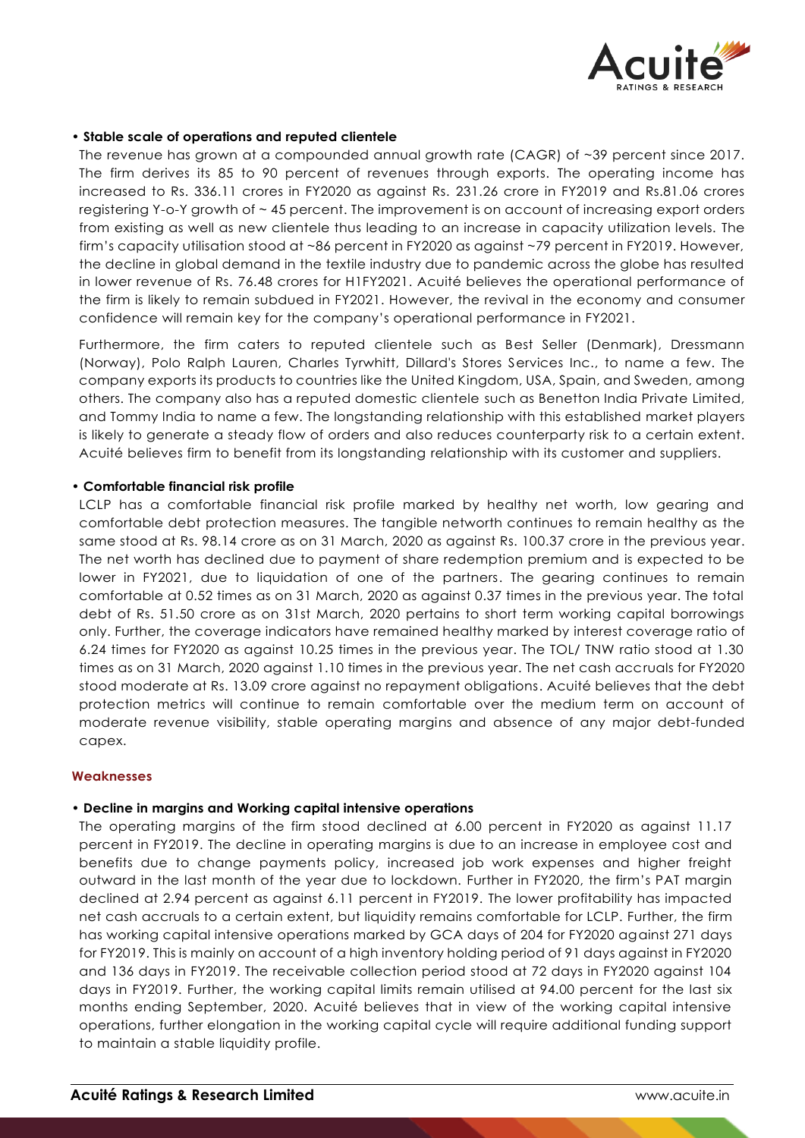

### • **Stable scale of operations and reputed clientele**

The revenue has grown at a compounded annual growth rate (CAGR) of ~39 percent since 2017. The firm derives its 85 to 90 percent of revenues through exports. The operating income has increased to Rs. 336.11 crores in FY2020 as against Rs. 231.26 crore in FY2019 and Rs.81.06 crores registering Y-o-Y growth of ~ 45 percent. The improvement is on account of increasing export orders from existing as well as new clientele thus leading to an increase in capacity utilization levels. The firm's capacity utilisation stood at ~86 percent in FY2020 as against ~79 percent in FY2019. However, the decline in global demand in the textile industry due to pandemic across the globe has resulted in lower revenue of Rs. 76.48 crores for H1FY2021. Acuité believes the operational performance of the firm is likely to remain subdued in FY2021. However, the revival in the economy and consumer confidence will remain key for the company's operational performance in FY2021.

Furthermore, the firm caters to reputed clientele such as Best Seller (Denmark), Dressmann (Norway), Polo Ralph Lauren, Charles Tyrwhitt, Dillard's Stores Services Inc., to name a few. The company exports its products to countries like the United Kingdom, USA, Spain, and Sweden, among others. The company also has a reputed domestic clientele such as Benetton India Private Limited, and Tommy India to name a few. The longstanding relationship with this established market players is likely to generate a steady flow of orders and also reduces counterparty risk to a certain extent. Acuité believes firm to benefit from its longstanding relationship with its customer and suppliers.

### • **Comfortable financial risk profile**

LCLP has a comfortable financial risk profile marked by healthy net worth, low gearing and comfortable debt protection measures. The tangible networth continues to remain healthy as the same stood at Rs. 98.14 crore as on 31 March, 2020 as against Rs. 100.37 crore in the previous year. The net worth has declined due to payment of share redemption premium and is expected to be lower in FY2021, due to liquidation of one of the partners. The gearing continues to remain comfortable at 0.52 times as on 31 March, 2020 as against 0.37 times in the previous year. The total debt of Rs. 51.50 crore as on 31st March, 2020 pertains to short term working capital borrowings only. Further, the coverage indicators have remained healthy marked by interest coverage ratio of 6.24 times for FY2020 as against 10.25 times in the previous year. The TOL/ TNW ratio stood at 1.30 times as on 31 March, 2020 against 1.10 times in the previous year. The net cash accruals for FY2020 stood moderate at Rs. 13.09 crore against no repayment obligations. Acuité believes that the debt protection metrics will continue to remain comfortable over the medium term on account of moderate revenue visibility, stable operating margins and absence of any major debt-funded capex.

#### **Weaknesses**

#### • **Decline in margins and Working capital intensive operations**

The operating margins of the firm stood declined at 6.00 percent in FY2020 as against 11.17 percent in FY2019. The decline in operating margins is due to an increase in employee cost and benefits due to change payments policy, increased job work expenses and higher freight outward in the last month of the year due to lockdown. Further in FY2020, the firm's PAT margin declined at 2.94 percent as against 6.11 percent in FY2019. The lower profitability has impacted net cash accruals to a certain extent, but liquidity remains comfortable for LCLP. Further, the firm has working capital intensive operations marked by GCA days of 204 for FY2020 against 271 days for FY2019. This is mainly on account of a high inventory holding period of 91 days against in FY2020 and 136 days in FY2019. The receivable collection period stood at 72 days in FY2020 against 104 days in FY2019. Further, the working capital limits remain utilised at 94.00 percent for the last six months ending September, 2020. Acuité believes that in view of the working capital intensive operations, further elongation in the working capital cycle will require additional funding support to maintain a stable liquidity profile.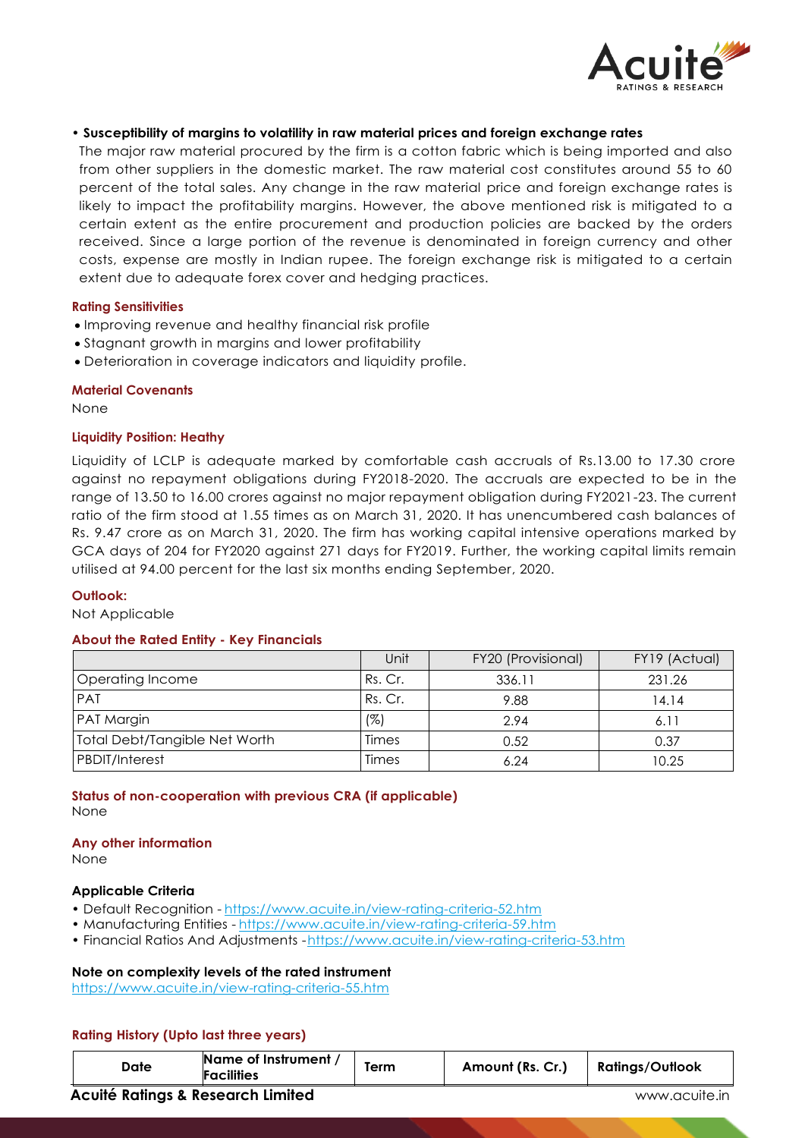

### • **Susceptibility of margins to volatility in raw material prices and foreign exchange rates**

The major raw material procured by the firm is a cotton fabric which is being imported and also from other suppliers in the domestic market. The raw material cost constitutes around 55 to 60 percent of the total sales. Any change in the raw material price and foreign exchange rates is likely to impact the profitability margins. However, the above mentioned risk is mitigated to a certain extent as the entire procurement and production policies are backed by the orders received. Since a large portion of the revenue is denominated in foreign currency and other costs, expense are mostly in Indian rupee. The foreign exchange risk is mitigated to a certain extent due to adequate forex cover and hedging practices.

#### **Rating Sensitivities**

- Improving revenue and healthy financial risk profile
- Stagnant growth in margins and lower profitability
- Deterioration in coverage indicators and liquidity profile.

#### **Material Covenants**

None

#### **Liquidity Position: Heathy**

Liquidity of LCLP is adequate marked by comfortable cash accruals of Rs.13.00 to 17.30 crore against no repayment obligations during FY2018-2020. The accruals are expected to be in the range of 13.50 to 16.00 crores against no major repayment obligation during FY2021-23. The current ratio of the firm stood at 1.55 times as on March 31, 2020. It has unencumbered cash balances of Rs. 9.47 crore as on March 31, 2020. The firm has working capital intensive operations marked by GCA days of 204 for FY2020 against 271 days for FY2019. Further, the working capital limits remain utilised at 94.00 percent for the last six months ending September, 2020.

#### **Outlook:**

Not Applicable

#### **About the Rated Entity - Key Financials**

|                                      | Unit    | FY20 (Provisional) | FY19 (Actual) |
|--------------------------------------|---------|--------------------|---------------|
| Operating Income                     | Rs. Cr. | 336.11             | 231.26        |
| <b>PAT</b>                           | Rs. Cr. | 9.88               | 14.14         |
| PAT Margin                           | (%)     | 2.94               | 6.11          |
| <b>Total Debt/Tangible Net Worth</b> | Times   | 0.52               | 0.37          |
| PBDIT/Interest                       | Times   | 6.24               | 10.25         |

**Status of non-cooperation with previous CRA (if applicable)** None

## **Any other information**

None

#### **Applicable Criteria**

- Default Recognition https://www.acuite.in/view-rating-criteria-52.htm
- Manufacturing Entities https://www.acuite.in/view-rating-criteria-59.htm
- Financial Ratios And Adjustments -https://www.acuite.in/view-rating-criteria-53.htm

### **Note on complexity levels of the rated instrument**

https://www.acuite.in/view-rating-criteria-55.htm

#### **Rating History (Upto last three years)**

| Name of Instrument,<br>Date<br><b>Facilities</b> | Term | Amount (Rs. Cr.) | <b>Ratings/Outlook</b> |
|--------------------------------------------------|------|------------------|------------------------|
|--------------------------------------------------|------|------------------|------------------------|

#### **Acuité Ratings & Research Limited** www.acuite.in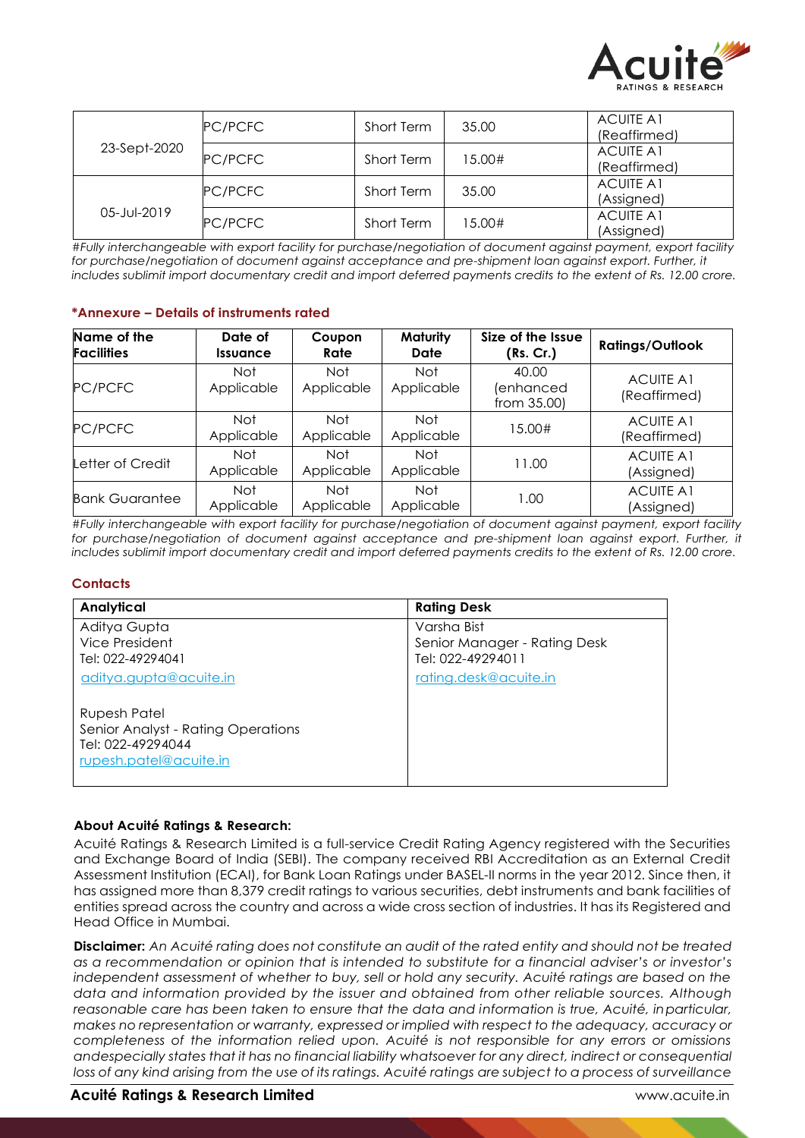

| 23-Sept-2020 | PC/PCFC        | <b>Short Term</b> | 35.00  | <b>ACUITE A1</b><br>(Reaffirmed) |
|--------------|----------------|-------------------|--------|----------------------------------|
|              | PC/PCFC        | <b>Short Term</b> | 15.00# | <b>ACUITE A1</b><br>(Reaffirmed) |
| 05-Jul-2019  | <b>PC/PCFC</b> | <b>Short Term</b> | 35.00  | <b>ACUITE A1</b><br>(Assigned)   |
|              | PC/PCFC        | <b>Short Term</b> | 15.00# | <b>ACUITE A1</b><br>(Assigned)   |

*#Fully interchangeable with export facility for purchase/negotiation of document against payment, export facility*  for purchase/negotiation of document against acceptance and pre-shipment loan against export. Further, it *includes sublimit import documentary credit and import deferred payments credits to the extent of Rs. 12.00 crore.*

### **\*Annexure – Details of instruments rated**

| Name of the<br><b>Facilities</b> | Date of<br>Issuance      | Coupon<br>Rate    | <b>Maturity</b><br>Date | Size of the Issue<br>(Rs. Cr.)    | <b>Ratings/Outlook</b>           |
|----------------------------------|--------------------------|-------------------|-------------------------|-----------------------------------|----------------------------------|
| PC/PCFC                          | <b>Not</b><br>Applicable | Not<br>Applicable | Not<br>Applicable       | 40.00<br>(enhanced<br>from 35.00) | <b>ACUITE A1</b><br>(Reaffirmed) |
| PC/PCFC                          | <b>Not</b><br>Applicable | Not<br>Applicable | Not<br>Applicable       | 15.00#                            | <b>ACUITE A1</b><br>(Reaffirmed) |
| Letter of Credit                 | Not.<br>Applicable       | Not<br>Applicable | Not<br>Applicable       | 11.00                             | <b>ACUITE A1</b><br>(Assigned)   |
| <b>Bank Guarantee</b>            | Not.<br>Applicable       | Not<br>Applicable | Not<br>Applicable       | 1.00                              | <b>ACUITE A1</b><br>(Assigned)   |

*#Fully interchangeable with export facility for purchase/negotiation of document against payment, export facility*  for purchase/negotiation of document against acceptance and pre-shipment loan against export. Further, it *includes sublimit import documentary credit and import deferred payments credits to the extent of Rs. 12.00 crore.*

### **Contacts**

| Analytical                         | <b>Rating Desk</b>           |
|------------------------------------|------------------------------|
| Aditya Gupta                       | Varsha Bist                  |
| Vice President                     | Senior Manager - Rating Desk |
| Tel: 022-49294041                  | Tel: 022-49294011            |
| aditya.gupta@acuite.in             | rating.desk@acuite.in        |
| Rupesh Patel                       |                              |
| Senior Analyst - Rating Operations |                              |
| Tel: 022-49294044                  |                              |
| rupesh.patel@acuite.in             |                              |
|                                    |                              |

#### **About Acuité Ratings & Research:**

Acuité Ratings & Research Limited is a full-service Credit Rating Agency registered with the Securities and Exchange Board of India (SEBI). The company received RBI Accreditation as an External Credit Assessment Institution (ECAI), for Bank Loan Ratings under BASEL-II norms in the year 2012. Since then, it has assigned more than 8,379 credit ratings to various securities, debt instruments and bank facilities of entities spread across the country and across a wide cross section of industries. It has its Registered and Head Office in Mumbai.

**Disclaimer:** An Acuité rating does not constitute an audit of the rated entity and should not be treated *as a recommendation or opinion that is intended to substitute for a financial adviser's or investor's independent assessment of whether to buy, sell or hold any security. Acuité ratings are based on the data and information provided by the issuer and obtained from other reliable sources. Although reasonable care has been taken to ensure that the data and information is true, Acuité, inparticular, makes no representation or warranty, expressed or implied with respect to the adequacy, accuracy or completeness of the information relied upon. Acuité is not responsible for any errors or omissions andespecially states that it has no financial liability whatsoever for any direct, indirect or consequential loss of any kind arising from the use of its ratings. Acuité ratings are subject to a process of surveillance*